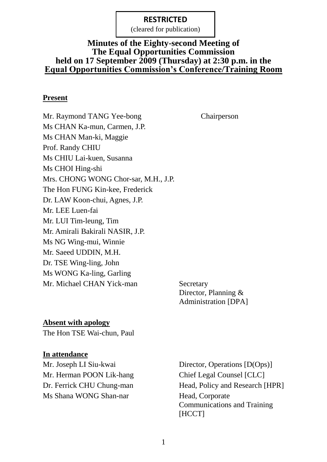(cleared for publication)

## **Minutes of the Eighty-second Meeting of The Equal Opportunities Commission held on 17 September 2009 (Thursday) at 2:30 p.m. in the Equal Opportunities Commission's Conference/Training Room**

#### **Present**

Mr. Raymond TANG Yee-bong Chairperson Ms CHAN Ka-mun, Carmen, J.P. Ms CHAN Man-ki, Maggie Prof. Randy CHIU Ms CHIU Lai-kuen, Susanna Ms CHOI Hing-shi Mrs. CHONG WONG Chor-sar, M.H., J.P. The Hon FUNG Kin-kee, Frederick Dr. LAW Koon-chui, Agnes, J.P. Mr. LEE Luen-fai Mr. LUI Tim-leung, Tim Mr. Amirali Bakirali NASIR, J.P. Ms NG Wing-mui, Winnie Mr. Saeed UDDIN, M.H. Dr. TSE Wing-ling, John Ms WONG Ka-ling, Garling Mr. Michael CHAN Yick-man Secretary

Director, Planning & Administration [DPA]

## **Absent with apology**

The Hon TSE Wai-chun, Paul

#### **In attendance**

Mr. Joseph LI Siu-kwai Director, Operations [D(Ops)] Mr. Herman POON Lik-hang Chief Legal Counsel [CLC] Ms Shana WONG Shan-nar Head, Corporate

Dr. Ferrick CHU Chung-man Head, Policy and Research [HPR] Communications and Training [HCCT]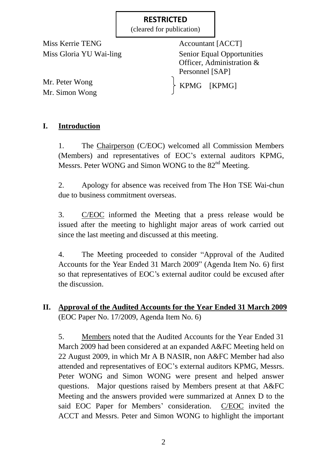(cleared for publication)

Miss Kerrie TENG Accountant [ACCT]

Miss Gloria YU Wai-ling Senior Equal Opportunities Officer, Administration & Personnel [SAP]

KPMG [KPMG]

Mr. Peter Wong Mr. Simon Wong

## **I. Introduction**

1. The Chairperson (C/EOC) welcomed all Commission Members (Members) and representatives of EOC's external auditors KPMG, Messrs. Peter WONG and Simon WONG to the 82<sup>nd</sup> Meeting.

2. Apology for absence was received from The Hon TSE Wai-chun due to business commitment overseas.

3. C/EOC informed the Meeting that a press release would be issued after the meeting to highlight major areas of work carried out since the last meeting and discussed at this meeting.

4. The Meeting proceeded to consider "Approval of the Audited Accounts for the Year Ended 31 March 2009" (Agenda Item No. 6) first so that representatives of EOC's external auditor could be excused after the discussion.

## **II. Approval of the Audited Accounts for the Year Ended 31 March 2009** (EOC Paper No. 17/2009, Agenda Item No. 6)

5. Members noted that the Audited Accounts for the Year Ended 31 March 2009 had been considered at an expanded A&FC Meeting held on 22 August 2009, in which Mr A B NASIR, non A&FC Member had also attended and representatives of EOC's external auditors KPMG, Messrs. Peter WONG and Simon WONG were present and helped answer questions. Major questions raised by Members present at that A&FC Meeting and the answers provided were summarized at Annex D to the said EOC Paper for Members' consideration. C/EOC invited the ACCT and Messrs. Peter and Simon WONG to highlight the important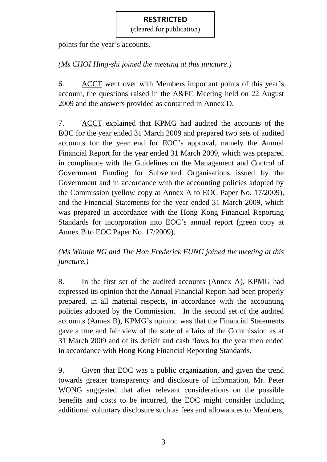(cleared for publication)

points for the year's accounts.

# *(Ms CHOI Hing-shi joined the meeting at this juncture.)*

6. ACCT went over with Members important points of this year's account, the questions raised in the A&FC Meeting held on 22 August 2009 and the answers provided as contained in Annex D.

7. ACCT explained that KPMG had audited the accounts of the EOC for the year ended 31 March 2009 and prepared two sets of audited accounts for the year end for EOC's approval, namely the Annual Financial Report for the year ended 31 March 2009, which was prepared in compliance with the Guidelines on the Management and Control of Government Funding for Subvented Organisations issued by the Government and in accordance with the accounting policies adopted by the Commission (yellow copy at Annex A to EOC Paper No. 17/2009), and the Financial Statements for the year ended 31 March 2009, which was prepared in accordance with the Hong Kong Financial Reporting Standards for incorporation into EOC's annual report (green copy at Annex B to EOC Paper No. 17/2009).

# *(Ms Winnie NG and The Hon Frederick FUNG joined the meeting at this juncture.)*

8. In the first set of the audited accounts (Annex A), KPMG had expressed its opinion that the Annual Financial Report had been properly prepared, in all material respects, in accordance with the accounting policies adopted by the Commission. In the second set of the audited accounts (Annex B), KPMG's opinion was that the Financial Statements gave a true and fair view of the state of affairs of the Commission as at 31 March 2009 and of its deficit and cash flows for the year then ended in accordance with Hong Kong Financial Reporting Standards.

9. Given that EOC was a public organization, and given the trend towards greater transparency and disclosure of information, Mr. Peter WONG suggested that after relevant considerations on the possible benefits and costs to be incurred, the EOC might consider including additional voluntary disclosure such as fees and allowances to Members,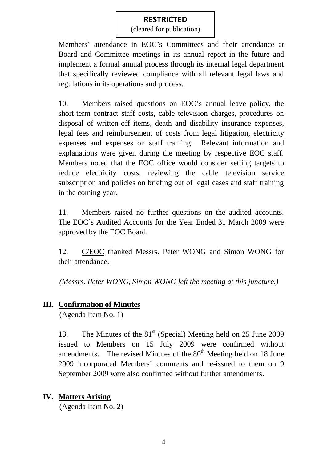(cleared for publication)

Members' attendance in EOC's Committees and their attendance at Board and Committee meetings in its annual report in the future and implement a formal annual process through its internal legal department that specifically reviewed compliance with all relevant legal laws and regulations in its operations and process.

10. Members raised questions on EOC's annual leave policy, the short-term contract staff costs, cable television charges, procedures on disposal of written-off items, death and disability insurance expenses, legal fees and reimbursement of costs from legal litigation, electricity expenses and expenses on staff training. Relevant information and explanations were given during the meeting by respective EOC staff. Members noted that the EOC office would consider setting targets to reduce electricity costs, reviewing the cable television service subscription and policies on briefing out of legal cases and staff training in the coming year.

11. Members raised no further questions on the audited accounts. The EOC's Audited Accounts for the Year Ended 31 March 2009 were approved by the EOC Board.

12. C/EOC thanked Messrs. Peter WONG and Simon WONG for their attendance.

*(Messrs. Peter WONG, Simon WONG left the meeting at this juncture.)*

## **III. Confirmation of Minutes**

(Agenda Item No. 1)

13. The Minutes of the 81<sup>st</sup> (Special) Meeting held on 25 June 2009 issued to Members on 15 July 2009 were confirmed without amendments. The revised Minutes of the  $80<sup>th</sup>$  Meeting held on 18 June 2009 incorporated Members' comments and re-issued to them on 9 September 2009 were also confirmed without further amendments.

## **IV. Matters Arising**

(Agenda Item No. 2)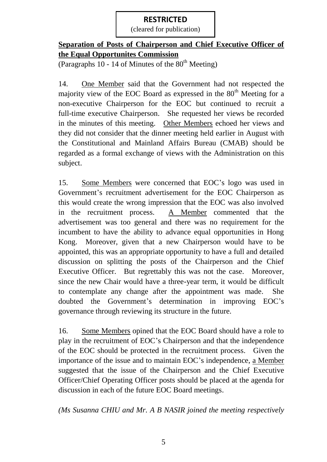(cleared for publication)

## **Separation of Posts of Chairperson and Chief Executive Officer of the Equal Opportunites Commission**

(Paragraphs 10 - 14 of Minutes of the  $80<sup>th</sup>$  Meeting)

14. One Member said that the Government had not respected the majority view of the EOC Board as expressed in the  $80<sup>th</sup>$  Meeting for a non-executive Chairperson for the EOC but continued to recruit a full-time executive Chairperson. She requested her views be recorded in the minutes of this meeting. Other Members echoed her views and they did not consider that the dinner meeting held earlier in August with the Constitutional and Mainland Affairs Bureau (CMAB) should be regarded as a formal exchange of views with the Administration on this subject.

15. Some Members were concerned that EOC's logo was used in Government's recruitment advertisement for the EOC Chairperson as this would create the wrong impression that the EOC was also involved in the recruitment process. A Member commented that the advertisement was too general and there was no requirement for the incumbent to have the ability to advance equal opportunities in Hong Kong. Moreover, given that a new Chairperson would have to be appointed, this was an appropriate opportunity to have a full and detailed discussion on splitting the posts of the Chairperson and the Chief Executive Officer. But regrettably this was not the case. Moreover, since the new Chair would have a three-year term, it would be difficult to contemplate any change after the appointment was made. She doubted the Government's determination in improving EOC's governance through reviewing its structure in the future.

16. Some Members opined that the EOC Board should have a role to play in the recruitment of EOC's Chairperson and that the independence of the EOC should be protected in the recruitment process. Given the importance of the issue and to maintain EOC's independence, a Member suggested that the issue of the Chairperson and the Chief Executive Officer/Chief Operating Officer posts should be placed at the agenda for discussion in each of the future EOC Board meetings.

*(Ms Susanna CHIU and Mr. A B NASIR joined the meeting respectively*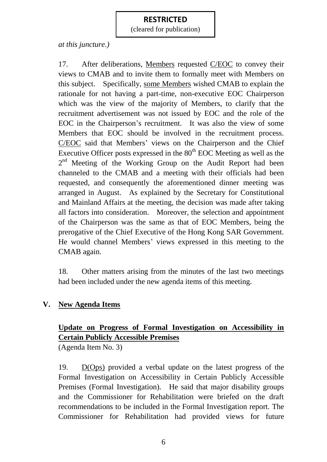(cleared for publication)

*at this juncture.)*

17. After deliberations, Members requested C/EOC to convey their views to CMAB and to invite them to formally meet with Members on this subject. Specifically, some Members wished CMAB to explain the rationale for not having a part-time, non-executive EOC Chairperson which was the view of the majority of Members, to clarify that the recruitment advertisement was not issued by EOC and the role of the EOC in the Chairperson's recruitment. It was also the view of some Members that EOC should be involved in the recruitment process. C/EOC said that Members' views on the Chairperson and the Chief Executive Officer posts expressed in the  $80<sup>th</sup>$  EOC Meeting as well as the 2<sup>nd</sup> Meeting of the Working Group on the Audit Report had been channeled to the CMAB and a meeting with their officials had been requested, and consequently the aforementioned dinner meeting was arranged in August. As explained by the Secretary for Constitutional and Mainland Affairs at the meeting, the decision was made after taking all factors into consideration. Moreover, the selection and appointment of the Chairperson was the same as that of EOC Members, being the prerogative of the Chief Executive of the Hong Kong SAR Government. He would channel Members' views expressed in this meeting to the CMAB again.

18. Other matters arising from the minutes of the last two meetings had been included under the new agenda items of this meeting.

## **V. New Agenda Items**

# **Update on Progress of Formal Investigation on Accessibility in Certain Publicly Accessible Premises**

(Agenda Item No. 3)

19. D(Ops) provided a verbal update on the latest progress of the Formal Investigation on Accessibility in Certain Publicly Accessible Premises (Formal Investigation). He said that major disability groups and the Commissioner for Rehabilitation were briefed on the draft recommendations to be included in the Formal Investigation report. The Commissioner for Rehabilitation had provided views for future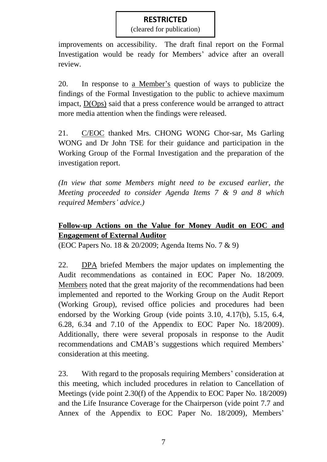(cleared for publication)

improvements on accessibility. The draft final report on the Formal Investigation would be ready for Members' advice after an overall review.

20. In response to a Member's question of ways to publicize the findings of the Formal Investigation to the public to achieve maximum impact, D(Ops) said that a press conference would be arranged to attract more media attention when the findings were released.

21. C/EOC thanked Mrs. CHONG WONG Chor-sar, Ms Garling WONG and Dr John TSE for their guidance and participation in the Working Group of the Formal Investigation and the preparation of the investigation report.

*(In view that some Members might need to be excused earlier, the Meeting proceeded to consider Agenda Items 7 & 9 and 8 which required Members' advice.)*

# **Follow-up Actions on the Value for Money Audit on EOC and Engagement of External Auditor**

(EOC Papers No. 18 & 20/2009; Agenda Items No. 7 & 9)

22. DPA briefed Members the major updates on implementing the Audit recommendations as contained in EOC Paper No. 18/2009. Members noted that the great majority of the recommendations had been implemented and reported to the Working Group on the Audit Report (Working Group), revised office policies and procedures had been endorsed by the Working Group (vide points 3.10, 4.17(b), 5.15, 6.4, 6.28, 6.34 and 7.10 of the Appendix to EOC Paper No. 18/2009). Additionally, there were several proposals in response to the Audit recommendations and CMAB's suggestions which required Members' consideration at this meeting.

23. With regard to the proposals requiring Members' consideration at this meeting, which included procedures in relation to Cancellation of Meetings (vide point 2.30(f) of the Appendix to EOC Paper No. 18/2009) and the Life Insurance Coverage for the Chairperson (vide point 7.7 and Annex of the Appendix to EOC Paper No. 18/2009), Members'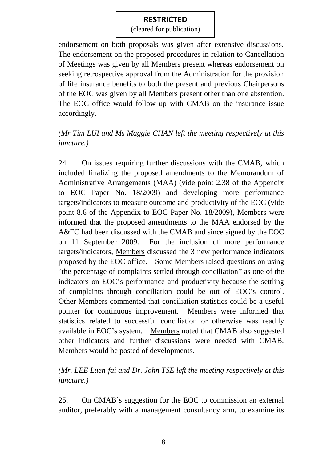(cleared for publication)

endorsement on both proposals was given after extensive discussions. The endorsement on the proposed procedures in relation to Cancellation of Meetings was given by all Members present whereas endorsement on seeking retrospective approval from the Administration for the provision of life insurance benefits to both the present and previous Chairpersons of the EOC was given by all Members present other than one abstention. The EOC office would follow up with CMAB on the insurance issue accordingly.

# *(Mr Tim LUI and Ms Maggie CHAN left the meeting respectively at this juncture.)*

24. On issues requiring further discussions with the CMAB, which included finalizing the proposed amendments to the Memorandum of Administrative Arrangements (MAA) (vide point 2.38 of the Appendix to EOC Paper No. 18/2009) and developing more performance targets/indicators to measure outcome and productivity of the EOC (vide point 8.6 of the Appendix to EOC Paper No. 18/2009), Members were informed that the proposed amendments to the MAA endorsed by the A&FC had been discussed with the CMAB and since signed by the EOC on 11 September 2009. For the inclusion of more performance targets/indicators, Members discussed the 3 new performance indicators proposed by the EOC office. Some Members raised questions on using "the percentage of complaints settled through conciliation" as one of the indicators on EOC's performance and productivity because the settling of complaints through conciliation could be out of EOC's control. Other Members commented that conciliation statistics could be a useful pointer for continuous improvement. Members were informed that statistics related to successful conciliation or otherwise was readily available in EOC's system. Members noted that CMAB also suggested other indicators and further discussions were needed with CMAB. Members would be posted of developments.

# *(Mr. LEE Luen-fai and Dr. John TSE left the meeting respectively at this juncture.)*

25. On CMAB's suggestion for the EOC to commission an external auditor, preferably with a management consultancy arm, to examine its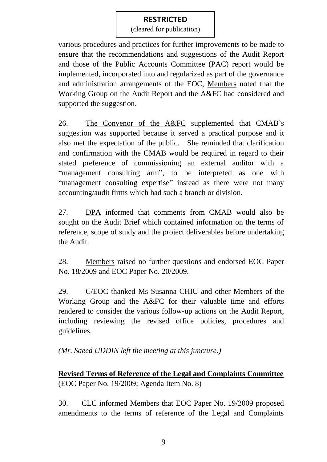(cleared for publication)

various procedures and practices for further improvements to be made to ensure that the recommendations and suggestions of the Audit Report and those of the Public Accounts Committee (PAC) report would be implemented, incorporated into and regularized as part of the governance and administration arrangements of the EOC, Members noted that the Working Group on the Audit Report and the A&FC had considered and supported the suggestion.

26. The Convenor of the A&FC supplemented that CMAB's suggestion was supported because it served a practical purpose and it also met the expectation of the public. She reminded that clarification and confirmation with the CMAB would be required in regard to their stated preference of commissioning an external auditor with a "management consulting arm", to be interpreted as one with "management consulting expertise" instead as there were not many accounting/audit firms which had such a branch or division.

27. DPA informed that comments from CMAB would also be sought on the Audit Brief which contained information on the terms of reference, scope of study and the project deliverables before undertaking the Audit.

28. Members raised no further questions and endorsed EOC Paper No. 18/2009 and EOC Paper No. 20/2009.

29. C/EOC thanked Ms Susanna CHIU and other Members of the Working Group and the A&FC for their valuable time and efforts rendered to consider the various follow-up actions on the Audit Report, including reviewing the revised office policies, procedures and guidelines.

*(Mr. Saeed UDDIN left the meeting at this juncture.)*

**Revised Terms of Reference of the Legal and Complaints Committee** (EOC Paper No. 19/2009; Agenda Item No. 8)

30. CLC informed Members that EOC Paper No. 19/2009 proposed amendments to the terms of reference of the Legal and Complaints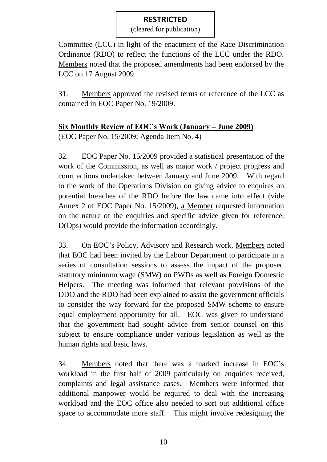(cleared for publication)

Committee (LCC) in light of the enactment of the Race Discrimination Ordinance (RDO) to reflect the functions of the LCC under the RDO. Members noted that the proposed amendments had been endorsed by the LCC on 17 August 2009.

31. Members approved the revised terms of reference of the LCC as contained in EOC Paper No. 19/2009.

## **Six Monthly Review of EOC's Work (January – June 2009)**

(EOC Paper No. 15/2009; Agenda Item No. 4)

32. EOC Paper No. 15/2009 provided a statistical presentation of the work of the Commission, as well as major work / project progress and court actions undertaken between January and June 2009. With regard to the work of the Operations Division on giving advice to enquires on potential breaches of the RDO before the law came into effect (vide Annex 2 of EOC Paper No. 15/2009), a Member requested information on the nature of the enquiries and specific advice given for reference. D(Ops) would provide the information accordingly.

33. On EOC's Policy, Advisory and Research work, Members noted that EOC had been invited by the Labour Department to participate in a series of consultation sessions to assess the impact of the proposed statutory minimum wage (SMW) on PWDs as well as Foreign Domestic Helpers. The meeting was informed that relevant provisions of the DDO and the RDO had been explained to assist the government officials to consider the way forward for the proposed SMW scheme to ensure equal employment opportunity for all. EOC was given to understand that the government had sought advice from senior counsel on this subject to ensure compliance under various legislation as well as the human rights and basic laws.

34. Members noted that there was a marked increase in EOC's workload in the first half of 2009 particularly on enquiries received, complaints and legal assistance cases. Members were informed that additional manpower would be required to deal with the increasing workload and the EOC office also needed to sort out additional office space to accommodate more staff. This might involve redesigning the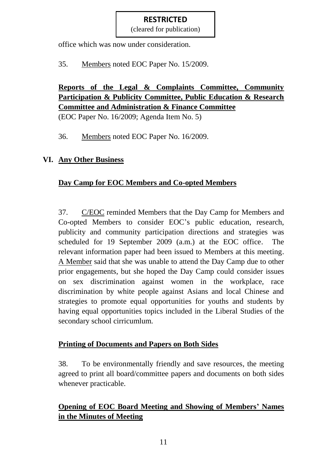(cleared for publication)

office which was now under consideration.

35. Members noted EOC Paper No. 15/2009.

# **Reports of the Legal & Complaints Committee, Community Participation & Publicity Committee, Public Education & Research Committee and Administration & Finance Committee**

(EOC Paper No. 16/2009; Agenda Item No. 5)

36. Members noted EOC Paper No. 16/2009.

# **VI. Any Other Business**

# **Day Camp for EOC Members and Co-opted Members**

37. C/EOC reminded Members that the Day Camp for Members and Co-opted Members to consider EOC's public education, research, publicity and community participation directions and strategies was scheduled for 19 September 2009 (a.m.) at the EOC office. The relevant information paper had been issued to Members at this meeting. A Member said that she was unable to attend the Day Camp due to other prior engagements, but she hoped the Day Camp could consider issues on sex discrimination against women in the workplace, race discrimination by white people against Asians and local Chinese and strategies to promote equal opportunities for youths and students by having equal opportunities topics included in the Liberal Studies of the secondary school cirricumlum.

# **Printing of Documents and Papers on Both Sides**

38. To be environmentally friendly and save resources, the meeting agreed to print all board/committee papers and documents on both sides whenever practicable.

# **Opening of EOC Board Meeting and Showing of Members' Names in the Minutes of Meeting**